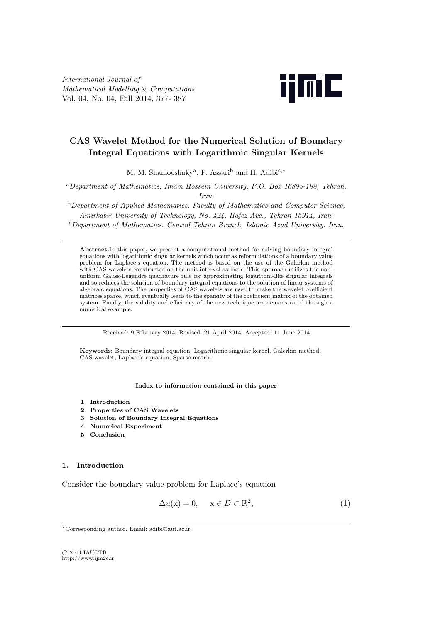*International Journal of Mathematical Modelling* & *Computations* Vol. 04, No. 04, Fall 2014, 377- 387



# **CAS Wavelet Method for the Numerical Solution of Boundary Integral Equations with Logarithmic Singular Kernels**

M. M. Shamooshaky<sup>a</sup> , P. Assari<sup>b</sup> and H. Adibi<sup>c</sup>*,<sup>∗</sup>*

<sup>a</sup>*Department of Mathematics, Imam Hossein University, P.O. Box 16895-198, Tehran, Iran*;

<sup>b</sup>*Department of Applied Mathematics, Faculty of Mathematics and Computer Science, Amirkabir University of Technology, No. 424, Hafez Ave., Tehran 15914, Iran*; <sup>c</sup>*Department of Mathematics, Central Tehran Branch, Islamic Azad University, Iran*.

Abstract. In this paper, we present a computational method for solving boundary integral equations with logarithmic singular kernels which occur as reformulations of a boundary value problem for Laplace's equation. The method is based on the use of the Galerkin method with CAS wavelets constructed on the unit interval as basis. This approach utilizes the nonuniform Gauss-Legendre quadrature rule for approximating logarithm-like singular integrals and so reduces the solution of boundary integral equations to the solution of linear systems of algebraic equations. The properties of CAS wavelets are used to make the wavelet coefficient matrices sparse, which eventually leads to the sparsity of the coefficient matrix of the obtained system. Finally, the validity and efficiency of the new technique are demonstrated through a numerical example.

Received: 9 February 2014, Revised: 21 April 2014, Accepted: 11 June 2014.

**Keywords:** Boundary integral equation, Logarithmic singular kernel, Galerkin method, CAS wavelet, Laplace's equation, Sparse matrix.

#### **Index to information contained in this paper**

- **1 Introduction**
- **2 Properties of CAS Wavelets**
- **3 Solution of Boundary Integral Equations**
- **4 Numerical Experiment**
- **5 Conclusion**

# **1. Introduction**

Consider the boundary value problem for Laplace's equation

$$
\Delta u(\mathbf{x}) = 0, \quad \mathbf{x} \in D \subset \mathbb{R}^2,\tag{1}
$$

*⃝*c 2014 IAUCTB http://www.ijm2c.ir

*<sup>∗</sup>*Corresponding author. Email: adibi@aut.ac.ir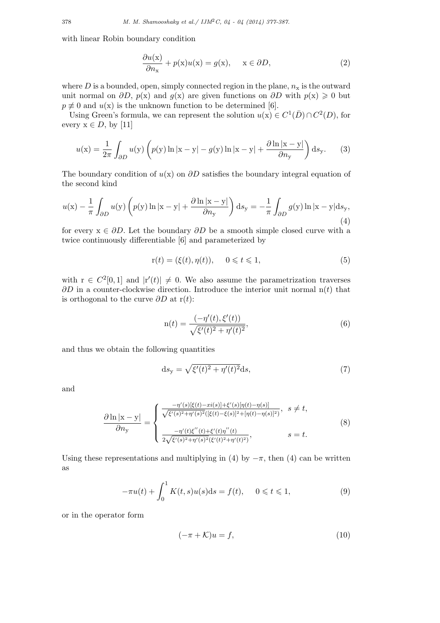with linear Robin boundary condition

$$
\frac{\partial u(\mathbf{x})}{\partial n_{\mathbf{x}}} + p(\mathbf{x})u(\mathbf{x}) = g(\mathbf{x}), \quad \mathbf{x} \in \partial D,
$$
 (2)

where  $D$  is a bounded, open, simply connected region in the plane,  $n_x$  is the outward unit normal on  $\partial D$ ,  $p(x)$  and  $q(x)$  are given functions on  $\partial D$  with  $p(x) \geq 0$  but  $p \not\equiv 0$  and  $u(x)$  is the unknown function to be determined [6].

Using Green's formula, we can represent the solution  $u(x) \in C^1(\bar{D}) \cap C^2(D)$ , for every  $x \in D$ , by [11]

$$
u(\mathbf{x}) = \frac{1}{2\pi} \int_{\partial D} u(\mathbf{y}) \left( p(\mathbf{y}) \ln|\mathbf{x} - \mathbf{y}| - g(\mathbf{y}) \ln|\mathbf{x} - \mathbf{y}| + \frac{\partial \ln|\mathbf{x} - \mathbf{y}|}{\partial n_{\mathbf{y}}} \right) \mathrm{d}s_{\mathbf{y}}.
$$
 (3)

The boundary condition of *u*(x) on *∂D* satisfies the boundary integral equation of the second kind

$$
u(\mathbf{x}) - \frac{1}{\pi} \int_{\partial D} u(\mathbf{y}) \left( p(\mathbf{y}) \ln |\mathbf{x} - \mathbf{y}| + \frac{\partial \ln |\mathbf{x} - \mathbf{y}|}{\partial n_{\mathbf{y}}} \right) \mathrm{d}s_{\mathbf{y}} = -\frac{1}{\pi} \int_{\partial D} g(\mathbf{y}) \ln |\mathbf{x} - \mathbf{y}| \mathrm{d}s_{\mathbf{y}},\tag{4}
$$

for every  $x \in \partial D$ . Let the boundary  $\partial D$  be a smooth simple closed curve with a twice continuously differentiable [6] and parameterized by

$$
\mathbf{r}(t) = (\xi(t), \eta(t)), \quad 0 \leq t \leq 1,
$$
\n<sup>(5)</sup>

with  $r \in C^2[0,1]$  and  $|r'(t)| \neq 0$ . We also assume the parametrization traverses *∂D* in a counter-clockwise direction. Introduce the interior unit normal n(*t*) that is orthogonal to the curve *∂D* at r(*t*):

$$
n(t) = \frac{(-\eta'(t), \xi'(t))}{\sqrt{\xi'(t)^2 + \eta'(t)^2}},
$$
\n(6)

and thus we obtain the following quantities

$$
ds_y = \sqrt{\xi'(t)^2 + \eta'(t)^2} ds,\tag{7}
$$

and

$$
\frac{\partial \ln |x - y|}{\partial n_y} = \begin{cases} \frac{-\eta'(s)[\xi(t) - xi(s)] + \xi'(s)[\eta(t) - \eta(s)]}{\sqrt{\xi'(s)^2 + \eta'(s)^2}([\xi(t) - \xi(s)]^2 + [\eta(t) - \eta(s)]^2)}, & s \neq t, \\ \frac{-\eta'(t)\xi''(t) + \xi'(t)\eta''(t)}{2\sqrt{\xi'(s)^2 + \eta'(s)^2}(\xi'(t)^2 + \eta'(t)^2)}, & s = t. \end{cases} (8)
$$

Using these representations and multiplying in (4) by  $-\pi$ , then (4) can be written as

$$
-\pi u(t) + \int_0^1 K(t,s)u(s)ds = f(t), \quad 0 \le t \le 1,
$$
 (9)

or in the operator form

$$
(-\pi + \mathcal{K})u = f,\tag{10}
$$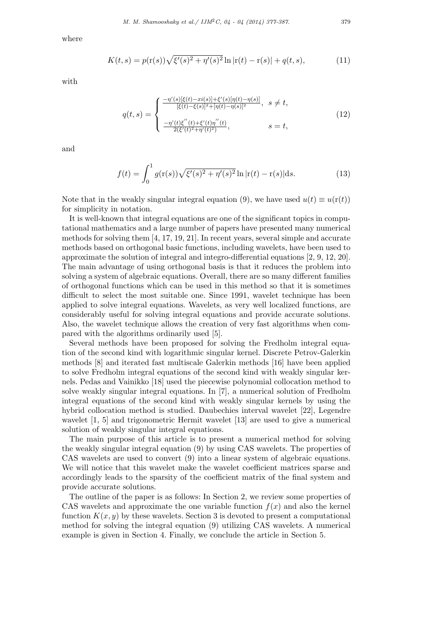where

$$
K(t,s) = p(r(s))\sqrt{\xi'(s)^2 + \eta'(s)^2} \ln|r(t) - r(s)| + q(t,s),
$$
\n(11)

with

$$
q(t,s) = \begin{cases} \frac{-\eta'(s)[\xi(t) - xi(s)] + \xi'(s)[\eta(t) - \eta(s)]}{[\xi(t) - \xi(s)]^2 + [\eta(t) - \eta(s)]^2}, & s \neq t, \\ \frac{-\eta'(t)\xi''(t) + \xi'(t)\eta''(t)}{2(\xi'(t)^2 + \eta'(t)^2)}, & s = t, \end{cases}
$$
(12)

and

$$
f(t) = \int_0^1 g(r(s))\sqrt{\xi'(s)^2 + \eta'(s)^2} \ln|r(t) - r(s)|ds.
$$
 (13)

Note that in the weakly singular integral equation (9), we have used  $u(t) \equiv u(r(t))$ for simplicity in notation.

It is well-known that integral equations are one of the significant topics in computational mathematics and a large number of papers have presented many numerical methods for solving them [4, 17, 19, 21]. In recent years, several simple and accurate methods based on orthogonal basic functions, including wavelets, have been used to approximate the solution of integral and integro-differential equations [2, 9, 12, 20]. The main advantage of using orthogonal basis is that it reduces the problem into solving a system of algebraic equations. Overall, there are so many different families of orthogonal functions which can be used in this method so that it is sometimes difficult to select the most suitable one. Since 1991, wavelet technique has been applied to solve integral equations. Wavelets, as very well localized functions, are considerably useful for solving integral equations and provide accurate solutions. Also, the wavelet technique allows the creation of very fast algorithms when compared with the algorithms ordinarily used [5].

Several methods have been proposed for solving the Fredholm integral equation of the second kind with logarithmic singular kernel. Discrete Petrov-Galerkin methods [8] and iterated fast multiscale Galerkin methods [16] have been applied to solve Fredholm integral equations of the second kind with weakly singular kernels. Pedas and Vainikko [18] used the piecewise polynomial collocation method to solve weakly singular integral equations. In [7], a numerical solution of Fredholm integral equations of the second kind with weakly singular kernels by using the hybrid collocation method is studied. Daubechies interval wavelet [22], Legendre wavelet [1, 5] and trigonometric Hermit wavelet [13] are used to give a numerical solution of weakly singular integral equations.

The main purpose of this article is to present a numerical method for solving the weakly singular integral equation (9) by using CAS wavelets. The properties of CAS wavelets are used to convert (9) into a linear system of algebraic equations. We will notice that this wavelet make the wavelet coefficient matrices sparse and accordingly leads to the sparsity of the coefficient matrix of the final system and provide accurate solutions.

The outline of the paper is as follows: In Section 2, we review some properties of CAS wavelets and approximate the one variable function  $f(x)$  and also the kernel function  $K(x, y)$  by these wavelets. Section 3 is devoted to present a computational method for solving the integral equation (9) utilizing CAS wavelets. A numerical example is given in Section 4. Finally, we conclude the article in Section 5.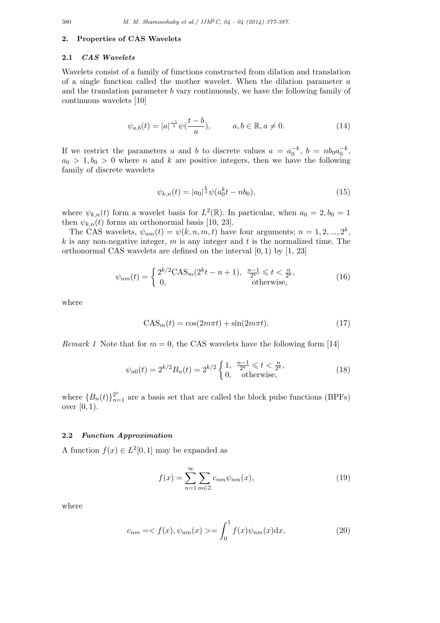## **2. Properties of CAS Wavelets**

## **2.1** *CAS Wavelets*

Wavelets consist of a family of functions constructed from dilation and translation of a single function called the mother wavelet. When the dilation parameter *a* and the translation parameter *b* vary continuously, we have the following family of continuous wavelets [10]

$$
\psi_{a,b}(t) = |a|^{\frac{-1}{2}} \psi(\frac{t-b}{a}), \qquad a, b \in \mathbb{R}, a \neq 0.
$$
 (14)

If we restrict the parameters *a* and *b* to discrete values  $a = a_0^{-k}$ ,  $b = nb_0a_0^{-k}$ ,  $a_0 > 1, b_0 > 0$  where *n* and *k* are positive integers, then we have the following family of discrete wavelets

$$
\psi_{k,n}(t) = |a_0|^{\frac{k}{2}} \psi(a_0^k t - nb_0),\tag{15}
$$

where  $\psi_{k,n}(t)$  form a wavelet basis for  $L^2(\mathbb{R})$ . In particular, when  $a_0 = 2, b_0 = 1$ then  $\psi_{k,n}(t)$  forms an orthonormal basis [10, 23].

The CAS wavelets,  $\psi_{nm}(t) = \psi(k, n, m, t)$  have four arguments;  $n = 1, 2, ..., 2^k$ , *k* is any non-negative integer, *m* is any integer and *t* is the normalized time. The orthonormal CAS wavelets are defined on the interval [0*,* 1) by [1, 23]

$$
\psi_{nm}(t) = \begin{cases} 2^{k/2} \text{CAS}_m(2^k t - n + 1), & \frac{n-1}{2^k} \leq t < \frac{n}{2^k}, \\ 0, & \text{otherwise}, \end{cases} \tag{16}
$$

where

$$
CAS_m(t) = \cos(2m\pi t) + \sin(2m\pi t). \tag{17}
$$

*Remark 1* Note that for  $m = 0$ , the CAS wavelets have the following form [14]

$$
\psi_{n0}(t) = 2^{k/2} B_n(t) = 2^{k/2} \begin{cases} 1, & \frac{n-1}{2^k} \leqslant t < \frac{n}{2^k}, \\ 0, & \text{otherwise}, \end{cases} \tag{18}
$$

where  ${B_n(t)}_{n=1}^{\infty}$  are a basis set that are called the block pulse functions (BPFs) over [0*,* 1).

#### **2.2** *Function Approximation*

A function  $f(x) \in L^2[0,1]$  may be expanded as

$$
f(x) = \sum_{n=1}^{\infty} \sum_{m \in \mathbb{Z}} c_{nm} \psi_{nm}(x),
$$
\n(19)

where

$$
c_{nm} = \langle f(x), \psi_{nm}(x) \rangle = \int_0^1 f(x)\psi_{nm}(x)dx, \tag{20}
$$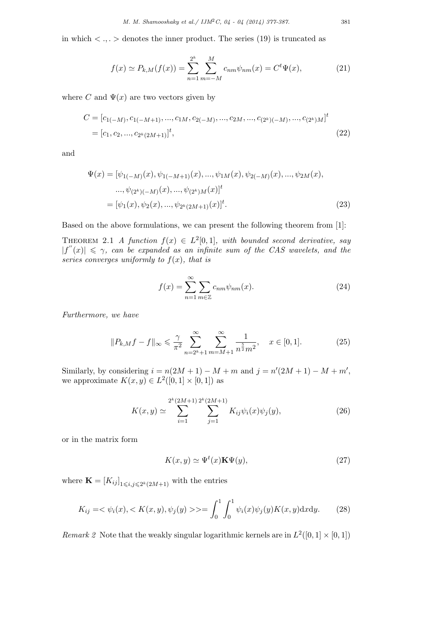in which  $\langle ., . \rangle$  denotes the inner product. The series (19) is truncated as

$$
f(x) \simeq P_{k,M}(f(x)) = \sum_{n=1}^{2^k} \sum_{m=-M}^{M} c_{nm} \psi_{nm}(x) = C^t \Psi(x), \tag{21}
$$

where *C* and  $\Psi(x)$  are two vectors given by

$$
C = [c_{1(-M)}, c_{1(-M+1)}, ..., c_{1M}, c_{2(-M)}, ..., c_{2M}, ..., c_{(2^k)(-M)}, ..., c_{(2^k)M}]^t
$$
  
=  $[c_1, c_2, ..., c_{2^k(2M+1)}]^t$ , (22)

and

$$
\Psi(x) = [\psi_{1(-M)}(x), \psi_{1(-M+1)}(x), ..., \psi_{1M}(x), \psi_{2(-M)}(x), ..., \psi_{2M}(x),
$$
  
\n
$$
..., \psi_{(2^k)(-M)}(x), ..., \psi_{(2^k)M}(x)]^t
$$
  
\n
$$
= [\psi_1(x), \psi_2(x), ..., \psi_{2^k(2M+1)}(x)]^t.
$$
\n(23)

Based on the above formulations, we can present the following theorem from [1]:

THEOREM 2.1 *A* function  $f(x) \in L^2[0,1]$ , with bounded second derivative, say  $|f''(x)| \leq \gamma$ , can be expanded as an infinite sum of the CAS wavelets, and the *series converges uniformly to*  $f(x)$ *, that is* 

$$
f(x) = \sum_{n=1}^{\infty} \sum_{m \in \mathbb{Z}} c_{nm} \psi_{nm}(x).
$$
 (24)

*Furthermore, we have*

$$
||P_{k,M}f - f||_{\infty} \le \frac{\gamma}{\pi^2} \sum_{n=2^k+1}^{\infty} \sum_{m=M+1}^{\infty} \frac{1}{n^{\frac{5}{2}} m^2}, \quad x \in [0,1].
$$
 (25)

Similarly, by considering  $i = n(2M + 1) - M + m$  and  $j = n'(2M + 1) - M + m'$ , we approximate  $K(x, y) \in L^2([0, 1] \times [0, 1])$  as

$$
K(x,y) \simeq \sum_{i=1}^{2^k (2M+1)} \sum_{j=1}^{2^k (2M+1)} K_{ij} \psi_i(x) \psi_j(y), \qquad (26)
$$

or in the matrix form

$$
K(x, y) \simeq \Psi^t(x) \mathbf{K}\Psi(y),\tag{27}
$$

where  $\mathbf{K} = [K_{ij}]_{1 \leqslant i,j \leqslant 2^k(2M+1)}$  with the entries

$$
K_{ij} = \langle \psi_i(x), \langle K(x, y), \psi_j(y) \rangle \rangle = \int_0^1 \int_0^1 \psi_i(x) \psi_j(y) K(x, y) \mathrm{d}x \mathrm{d}y. \tag{28}
$$

*Remark 2* Note that the weakly singular logarithmic kernels are in  $L^2([0,1] \times [0,1])$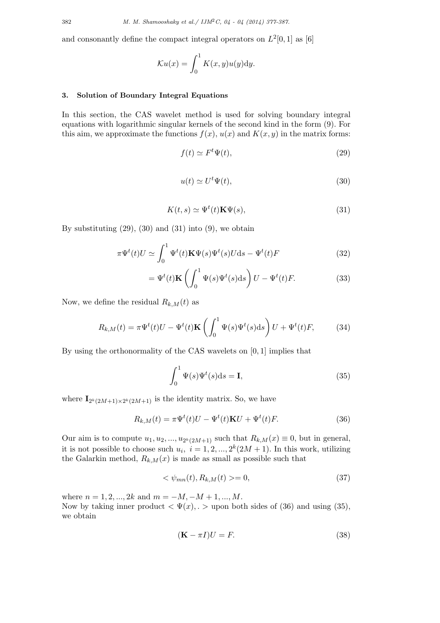and consonantly define the compact integral operators on  $L^2[0,1]$  as [6]

$$
\mathcal{K}u(x) = \int_0^1 K(x, y)u(y) \mathrm{d}y.
$$

## **3. Solution of Boundary Integral Equations**

In this section, the CAS wavelet method is used for solving boundary integral equations with logarithmic singular kernels of the second kind in the form (9). For this aim, we approximate the functions  $f(x)$ ,  $u(x)$  and  $K(x, y)$  in the matrix forms:

$$
f(t) \simeq F^t \Psi(t),\tag{29}
$$

$$
u(t) \simeq U^t \Psi(t),\tag{30}
$$

$$
K(t,s) \simeq \Psi^t(t) \mathbf{K}\Psi(s),\tag{31}
$$

By substituting  $(29)$ ,  $(30)$  and  $(31)$  into  $(9)$ , we obtain

$$
\pi \Psi^t(t) U \simeq \int_0^1 \Psi^t(t) \mathbf{K} \Psi(s) \Psi^t(s) U \, \mathrm{d}s - \Psi^t(t) F \tag{32}
$$

$$
= \Psi^{t}(t)\mathbf{K}\left(\int_{0}^{1} \Psi(s)\Psi^{t}(s)ds\right)U - \Psi^{t}(t)F.
$$
 (33)

Now, we define the residual  $R_{k,M}(t)$  as

$$
R_{k,M}(t) = \pi \Psi^t(t)U - \Psi^t(t)\mathbf{K}\left(\int_0^1 \Psi(s)\Psi^t(s)ds\right)U + \Psi^t(t)F,\tag{34}
$$

By using the orthonormality of the CAS wavelets on [0*,* 1] implies that

$$
\int_0^1 \Psi(s)\Psi^t(s)ds = \mathbf{I},\tag{35}
$$

where  $\mathbf{I}_{2^k(2M+1)\times 2^k(2M+1)}$  is the identity matrix. So, we have

$$
R_{k,M}(t) = \pi \Psi^t(t)U - \Psi^t(t)\mathbf{K}U + \Psi^t(t)F.
$$
\n(36)

Our aim is to compute  $u_1, u_2, ..., u_{2^k(2M+1)}$  such that  $R_{k,M}(x) \equiv 0$ , but in general, it is not possible to choose such  $u_i$ ,  $i = 1, 2, ..., 2^k(2M + 1)$ . In this work, utilizing the Galarkin method,  $R_{k,M}(x)$  is made as small as possible such that

$$
\langle \psi_{mn}(t), R_{k,M}(t) \rangle = 0,\tag{37}
$$

where  $n = 1, 2, ..., 2k$  and  $m = -M, -M + 1, ..., M$ . Now by taking inner product  $\langle \Psi(x), \rangle$  upon both sides of (36) and using (35), we obtain

$$
(\mathbf{K} - \pi I)U = F.
$$
\n(38)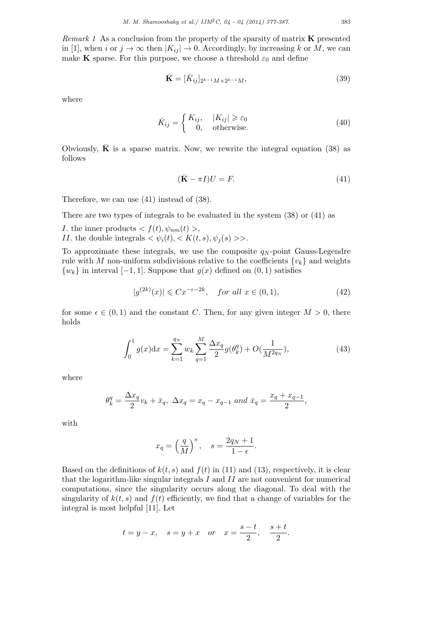*Remark 1* As a conclusion from the property of the sparsity of matrix **K** presented in [1], when *i* or  $j \to \infty$  then  $|K_{ij}| \to 0$ . Accordingly, by increasing *k* or *M*, we can make **K** sparse. For this purpose, we choose a threshold  $\varepsilon_0$  and define

$$
\bar{\mathbf{K}} = [\bar{K}_{ij}]_{2^{k-1}M \times 2^{k-1}M},\tag{39}
$$

where

$$
\bar{K}_{ij} = \begin{cases} K_{ij}, & |K_{ij}| \ge \varepsilon_0 \\ 0, & \text{otherwise.} \end{cases}
$$
 (40)

Obviously,  $\bf{K}$  is a sparse matrix. Now, we rewrite the integral equation (38) as follows

$$
(\bar{\mathbf{K}} - \pi I)U = F.
$$
\n<sup>(41)</sup>

Therefore, we can use (41) instead of (38).

There are two types of integrals to be evaluated in the system (38) or (41) as

- *I*. the inner products  $\langle f(t), \psi_{nm}(t) \rangle$ ,
- *II*. the double integrals  $\langle \psi_i(t), \langle K(t,s), \psi_i(s) \rangle$ .

To approximate these integrals, we use the composite  $q_N$ -point Gauss-Legendre rule with *M* non-uniform subdivisions relative to the coefficients  $\{v_k\}$  and weights  ${w_k}$  in interval [*−*1*,* 1]. Suppose that  $g(x)$  defined on (0*,* 1) satisfies

$$
|g^{(2k)}(x)| \leqslant Cx^{-\epsilon - 2k}, \quad \text{for all } x \in (0, 1), \tag{42}
$$

for some  $\epsilon \in (0,1)$  and the constant *C*. Then, for any given integer  $M > 0$ , there holds

$$
\int_0^1 g(x) dx = \sum_{k=1}^{q_N} w_k \sum_{q=1}^M \frac{\Delta x_q}{2} g(\theta_k^q) + O(\frac{1}{M^{2q_N}}), \tag{43}
$$

where

$$
\theta_k^q = \frac{\Delta x_q}{2} v_k + \bar{x}_q, \ \Delta x_q = x_q - x_{q-1} \ and \ \bar{x}_q = \frac{x_q + x_{q-1}}{2},
$$

with

$$
x_q = \left(\frac{q}{M}\right)^s
$$
,  $s = \frac{2q_N + 1}{1 - \epsilon}$ .

Based on the definitions of  $k(t, s)$  and  $f(t)$  in (11) and (13), respectively, it is clear that the logarithm-like singular integrals *I* and *II* are not convenient for numerical computations, since the singularity occurs along the diagonal. To deal with the singularity of  $k(t, s)$  and  $f(t)$  efficiently, we find that a change of variables for the integral is most helpful [11]. Let

$$
t = y - x
$$
,  $s = y + x$  or  $x = \frac{s - t}{2}$ ,  $\frac{s + t}{2}$ .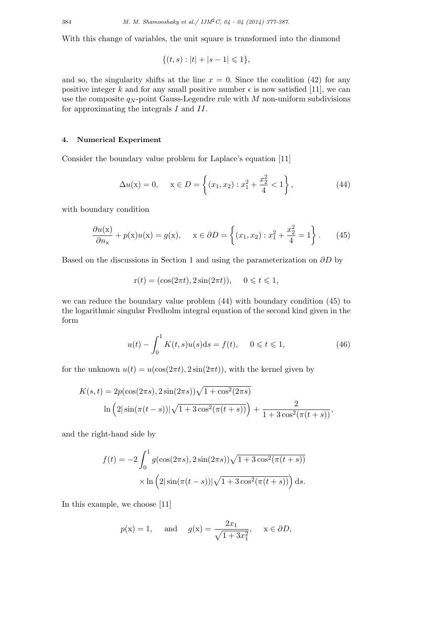With this change of variables, the unit square is transformed into the diamond

$$
\{(t,s):|t|+|s-1|\leq 1\},\
$$

and so, the singularity shifts at the line  $x = 0$ . Since the condition (42) for any positive integer k and for any small positive number  $\epsilon$  is now satisfied [11], we can use the composite  $q_N$ -point Gauss-Legendre rule with  $M$  non-uniform subdivisions for approximating the integrals *I* and *II*.

## **4. Numerical Experiment**

Consider the boundary value problem for Laplace's equation [11]

$$
\Delta u(x) = 0, \quad x \in D = \left\{ (x_1, x_2) : x_1^2 + \frac{x_2^2}{4} < 1 \right\},\tag{44}
$$

with boundary condition

$$
\frac{\partial u(x)}{\partial n_x} + p(x)u(x) = g(x), \quad x \in \partial D = \left\{ (x_1, x_2) : x_1^2 + \frac{x_2^2}{4} = 1 \right\}.
$$
 (45)

Based on the discussions in Section 1 and using the parameterization on *∂D* by

$$
r(t) = (\cos(2\pi t), 2\sin(2\pi t)), \quad 0 \leq t \leq 1,
$$

we can reduce the boundary value problem (44) with boundary condition (45) to the logarithmic singular Fredholm integral equation of the second kind given in the form

$$
u(t) - \int_0^1 K(t, s)u(s)ds = f(t), \quad 0 \le t \le 1,
$$
\n(46)

for the unknown  $u(t) = u(\cos(2\pi t), 2\sin(2\pi t))$ , with the kernel given by

$$
K(s,t) = 2p(\cos(2\pi s), 2\sin(2\pi s))\sqrt{1 + \cos^2(2\pi s)}
$$

$$
\ln\left(2|\sin(\pi(t-s))|\sqrt{1 + 3\cos^2(\pi(t+s))}\right) + \frac{2}{1 + 3\cos^2(\pi(t+s))},
$$

and the right-hand side by

$$
f(t) = -2 \int_0^1 g(\cos(2\pi s), 2\sin(2\pi s))\sqrt{1 + 3\cos^2(\pi(t+s))}
$$

$$
\times \ln\left(2|\sin(\pi(t-s))|\sqrt{1 + 3\cos^2(\pi(t+s))}\right) ds.
$$

In this example, we choose [11]

$$
p(x) = 1
$$
, and  $g(x) = \frac{2x_1}{\sqrt{1+3x_1^2}}$ ,  $x \in \partial D$ ,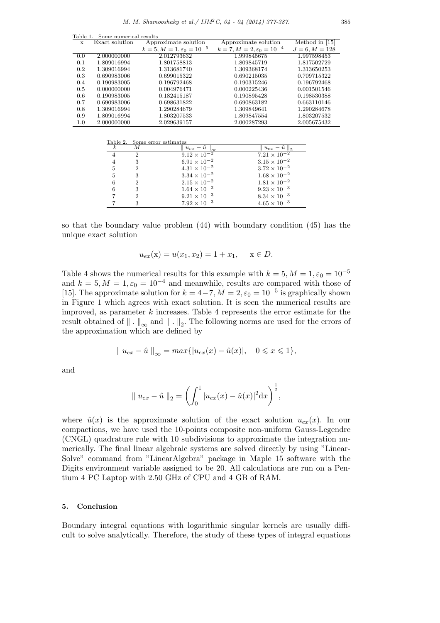Table 1. Some numerical results

| X   | Exact solution | Approximate solution                    | Approximate solution                    | Method in $[15]$ |
|-----|----------------|-----------------------------------------|-----------------------------------------|------------------|
|     |                | $k = 5, M = 1, \varepsilon_0 = 10^{-5}$ | $k = 7, M = 2, \varepsilon_0 = 10^{-4}$ | $J = 6, M = 128$ |
| 0.0 | 2.000000000    | 2.012793632                             | 1.999845675                             | 1.997598453      |
| 0.1 | 1.809016994    | 1.801758813                             | 1.809845719                             | 1.817502729      |
| 0.2 | 1.309016994    | 1.313681740                             | 1.309368174                             | 1.313650253      |
| 0.3 | 0.690983006    | 0.699015322                             | 0.690215035                             | 0.709715322      |
| 0.4 | 0.190983005    | 0.196792468                             | 0.190315246                             | 0.196792468      |
| 0.5 | 0.000000000    | 0.004976471                             | 0.000225436                             | 0.001501546      |
| 0.6 | 0.190983005    | 0.182415187                             | 0.190895428                             | 0.198530388      |
| 0.7 | 0.690983006    | 0.698631822                             | 0.690863182                             | 0.663110146      |
| 0.8 | 1.309016994    | 1.290284679                             | 1.309849641                             | 1.290284678      |
| 0.9 | 1.809016994    | 1.803207533                             | 1.809847554                             | 1.803207532      |
| 1.0 | 2.000000000    | 2.029639157                             | 2.000287293                             | 2.005675432      |
|     |                |                                         |                                         |                  |

|          |   | Table 2. Some error estimates |                       |
|----------|---|-------------------------------|-----------------------|
| $\kappa$ |   | $u_{ex} - u$<br>‼∞            | $u_{ex} - u$          |
|          | 2 | $9.12 \times 10^{-2}$         | $7.21 \times 10^{-2}$ |
|          |   | $6.91 \times 10^{-2}$         | $3.15 \times 10^{-2}$ |
| 5        |   | $4.31 \times 10^{-2}$         | $3.72 \times 10^{-2}$ |
| 5        |   | $3.34 \times 10^{-2}$         | $1.68 \times 10^{-2}$ |
| 6        | 2 | $2.15 \times 10^{-2}$         | $1.81 \times 10^{-2}$ |
|          |   | $1.64 \times 10^{-2}$         | $9.23 \times 10^{-3}$ |
|          | 2 | $9.21 \times 10^{-3}$         | $8.34 \times 10^{-3}$ |
|          | 3 | $7.92 \times 10^{-3}$         | $4.65 \times 10^{-3}$ |

so that the boundary value problem (44) with boundary condition (45) has the unique exact solution

$$
u_{ex}(x) = u(x_1, x_2) = 1 + x_1, \quad x \in D.
$$

Table 4 shows the numerical results for this example with  $k = 5, M = 1, \varepsilon_0 = 10^{-5}$ and  $k = 5, M = 1, \varepsilon_0 = 10^{-4}$  and meanwhile, results are compared with those of [15]. The approximate solution for  $k = 4-7$ ,  $M = 2$ ,  $\varepsilon_0 = 10^{-5}$  is graphically shown in Figure 1 which agrees with exact solution. It is seen the numerical results are improved, as parameter *k* increases. Table 4 represents the error estimate for the result obtained of *<sup>∥</sup> . <sup>∥</sup><sup>∞</sup>* and *<sup>∥</sup> . <sup>∥</sup>*<sup>2</sup> . The following norms are used for the errors of the approximation which are defined by

$$
|| u_{ex} - \hat{u} ||_{\infty} = max{ | u_{ex}(x) - \hat{u}(x) |, \quad 0 \le x \le 1 }
$$

and

$$
|| u_{ex} - \hat{u} ||_2 = \left( \int_0^1 |u_{ex}(x) - \hat{u}(x)|^2 dx \right)^{\frac{1}{2}},
$$

where  $\hat{u}(x)$  is the approximate solution of the exact solution  $u_{ex}(x)$ . In our compactions, we have used the 10-points composite non-uniform Gauss-Legendre (CNGL) quadrature rule with 10 subdivisions to approximate the integration numerically. The final linear algebraic systems are solved directly by using "Linear-Solve" command from "LinearAlgebra" package in Maple 15 software with the Digits environment variable assigned to be 20. All calculations are run on a Pentium 4 PC Laptop with 2.50 GHz of CPU and 4 GB of RAM.

## **5. Conclusion**

Boundary integral equations with logarithmic singular kernels are usually difficult to solve analytically. Therefore, the study of these types of integral equations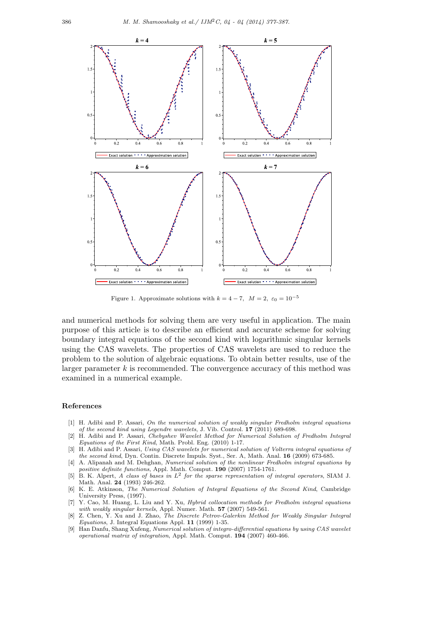

Figure 1. Approximate solutions with  $k = 4 - 7$ ,  $M = 2$ ,  $\varepsilon_0 = 10^{-5}$ 

and numerical methods for solving them are very useful in application. The main purpose of this article is to describe an efficient and accurate scheme for solving boundary integral equations of the second kind with logarithmic singular kernels using the CAS wavelets. The properties of CAS wavelets are used to reduce the problem to the solution of algebraic equations. To obtain better results, use of the larger parameter *k* is recommended. The convergence accuracy of this method was examined in a numerical example.

#### **References**

- [1] H. Adibi and P. Assari, *On the numerical solution of weakly singular Fredholm integral equations of the second kind using Legendre wavelets*, J. Vib. Control. **17** (2011) 689-698.
- [2] H. Adibi and P. Assari, *Chebyshev Wavelet Method for Numerical Solution of Fredholm Integral Equations of the First Kind*, Math. Probl. Eng. (2010) 1-17.
- [3] H. Adibi and P. Assari, *Using CAS wavelets for numerical solution of Volterra integral equations of the second kind*, Dyn. Contin. Discrete Impuls. Syst., Ser. A, Math. Anal. **16** (2009) 673-685.
- [4] A. Alipanah and M. Dehghan, *Numerical solution of the nonlinear Fredholm integral equations by positive definite functions*, Appl. Math. Comput. **190** (2007) 1754-1761.
- [5] B. K. Alpert, *A class of bases in L*<sup>2</sup> *for the sparse representation of integral operators*, SIAM J. Math. Anal. **24** (1993) 246-262.
- [6] K. E. Atkinson, *The Numerical Solution of Integral Equations of the Second Kind*, Cambridge University Press, (1997).
- [7] Y. Cao, M. Huang, L. Liu and Y. Xu, *Hybrid collocation methods for Fredholm integral equations with weakly singular kernels*, Appl. Numer. Math. **57** (2007) 549-561.
- [8] Z. Chen, Y. Xu and J. Zhao, *The Discrete Petrov-Galerkin Method for Weakly Singular Integral Equations*, J. Integral Equations Appl. **11** (1999) 1-35.
- [9] Han Danfu, Shang Xufeng, *Numerical solution of integro-differential equations by using CAS wavelet operational matrix of integration*, Appl. Math. Comput. **194** (2007) 460-466.